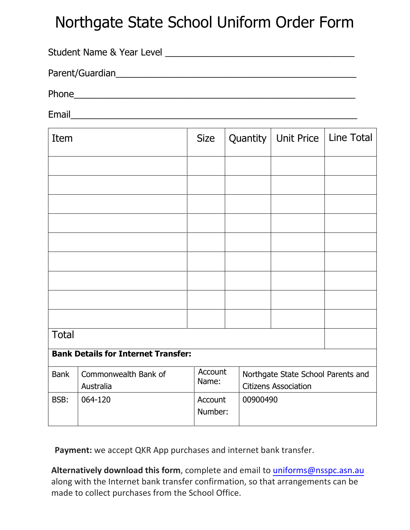## Northgate State School Uniform Order Form

| <b>Student Name &amp; Year Level</b> |  |
|--------------------------------------|--|
| Parent/Guardian                      |  |
| Phone                                |  |

Email\_\_\_\_\_\_\_\_\_\_\_\_\_\_\_\_\_\_\_\_\_\_\_\_\_\_\_\_\_\_\_\_\_\_\_\_\_\_\_\_\_\_\_\_\_\_\_\_\_\_\_\_\_\_\_\_

| Item                                       |                                   | <b>Size</b>        | Quantity | <b>Unit Price</b>                                                 | Line Total |  |  |
|--------------------------------------------|-----------------------------------|--------------------|----------|-------------------------------------------------------------------|------------|--|--|
|                                            |                                   |                    |          |                                                                   |            |  |  |
|                                            |                                   |                    |          |                                                                   |            |  |  |
|                                            |                                   |                    |          |                                                                   |            |  |  |
|                                            |                                   |                    |          |                                                                   |            |  |  |
|                                            |                                   |                    |          |                                                                   |            |  |  |
|                                            |                                   |                    |          |                                                                   |            |  |  |
|                                            |                                   |                    |          |                                                                   |            |  |  |
|                                            |                                   |                    |          |                                                                   |            |  |  |
|                                            |                                   |                    |          |                                                                   |            |  |  |
| <b>Total</b>                               |                                   |                    |          |                                                                   |            |  |  |
| <b>Bank Details for Internet Transfer:</b> |                                   |                    |          |                                                                   |            |  |  |
| <b>Bank</b>                                | Commonwealth Bank of<br>Australia | Account<br>Name:   |          | Northgate State School Parents and<br><b>Citizens Association</b> |            |  |  |
| BSB:                                       | 064-120                           | Account<br>Number: |          | 00900490                                                          |            |  |  |

**Payment:** we accept QKR App purchases and internet bank transfer.

**Alternatively download this form**, complete and email to [uniforms@nsspc.asn.au](mailto:uniforms@nsspc.asn.au) along with the Internet bank transfer confirmation, so that arrangements can be made to collect purchases from the School Office.